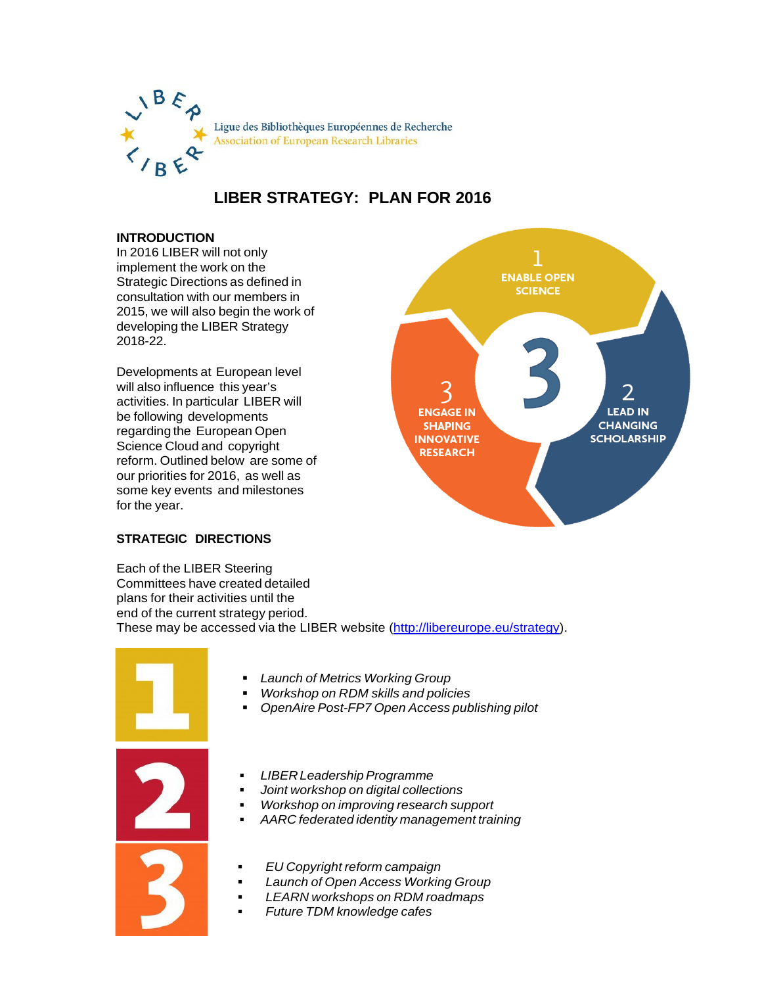

# **LIBER STRATEGY: PLAN FOR 2016**

## **INTRODUCTION**

In 2016 LIBER will not only implement the work on the Strategic Directions as defined in consultation with our members in 2015, we will also begin the work of developing the LIBER Strategy 2018-22.

Developments at European level will also influence this year's activities. In particular LIBER will be following developments regarding the European Open Science Cloud and copyright reform. Outlined below are some of our priorities for 2016, as well as some key events and milestones for the year.



# **STRATEGIC DIRECTIONS**

Each of the LIBER Steering Committees have created detailed plans for their activities until the end of the current strategy period. These may be accessed via the LIBER website [\(http://libereurope.eu/strategy\)](http://libereurope.eu/strategy).



- *Launch of Metrics Working Group*
- *Workshop on RDM skills and policies*
- *OpenAire Post-FP7 Open Access publishing pilot*
- **LIBER Leadership Programme**
- *Joint workshop on digital collections*
- *Workshop on improving research support*
- *AARC federated identity management training*
- *EU Copyright reform campaign*
- *Launch of Open Access Working Group*
- *LEARN workshops on RDM roadmaps*
- *Future TDM knowledge cafes*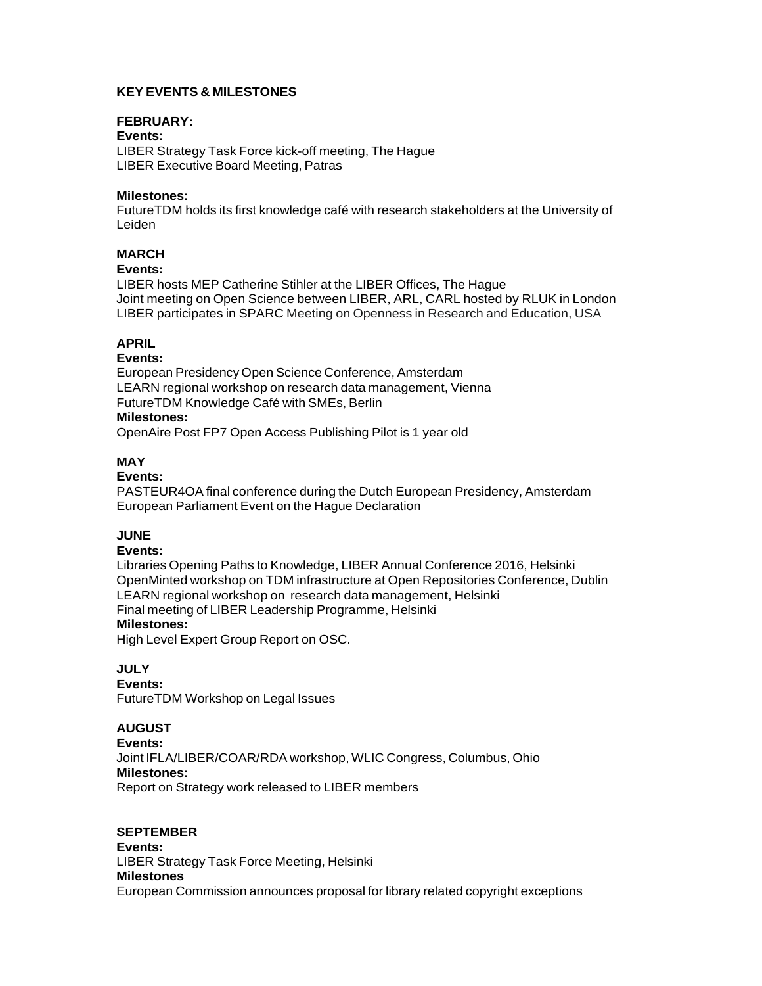# **KEY EVENTS & MILESTONES**

### **FEBRUARY:**

**Events:** LIBER Strategy Task Force kick-off meeting, The Hague LIBER Executive Board Meeting, Patras

### **Milestones:**

FutureTDM holds its first knowledge café with research stakeholders at the University of Leiden

# **MARCH**

#### **Events:**

LIBER hosts MEP Catherine Stihler at the LIBER Offices, The Hague Joint meeting on Open Science between LIBER, ARL, CARL hosted by RLUK in London LIBER participates in SPARC Meeting on Openness in Research and Education, USA

## **APRIL**

### **Events:**

European Presidency Open Science Conference, Amsterdam LEARN regional workshop on research data management, Vienna FutureTDM Knowledge Café with SMEs, Berlin

#### **Milestones:**

OpenAire Post FP7 Open Access Publishing Pilot is 1 year old

## **MAY**

#### **Events:**

PASTEUR4OA final conference during the Dutch European Presidency, Amsterdam European Parliament Event on the Hague Declaration

# **JUNE**

#### **Events:**

Libraries Opening Paths to Knowledge, LIBER Annual Conference 2016, Helsinki OpenMinted workshop on TDM infrastructure at Open Repositories Conference, Dublin LEARN regional workshop on research data management, Helsinki Final meeting of LIBER Leadership Programme, Helsinki

# **Milestones:**

High Level Expert Group Report on OSC.

### **JULY**

**Events:** FutureTDM Workshop on Legal Issues

## **AUGUST**

**Events:** Joint IFLA/LIBER/COAR/RDA workshop, WLIC Congress, Columbus, Ohio **Milestones:** Report on Strategy work released to LIBER members

### **SEPTEMBER**

**Events:** LIBER Strategy Task Force Meeting, Helsinki **Milestones** European Commission announces proposal for library related copyright exceptions